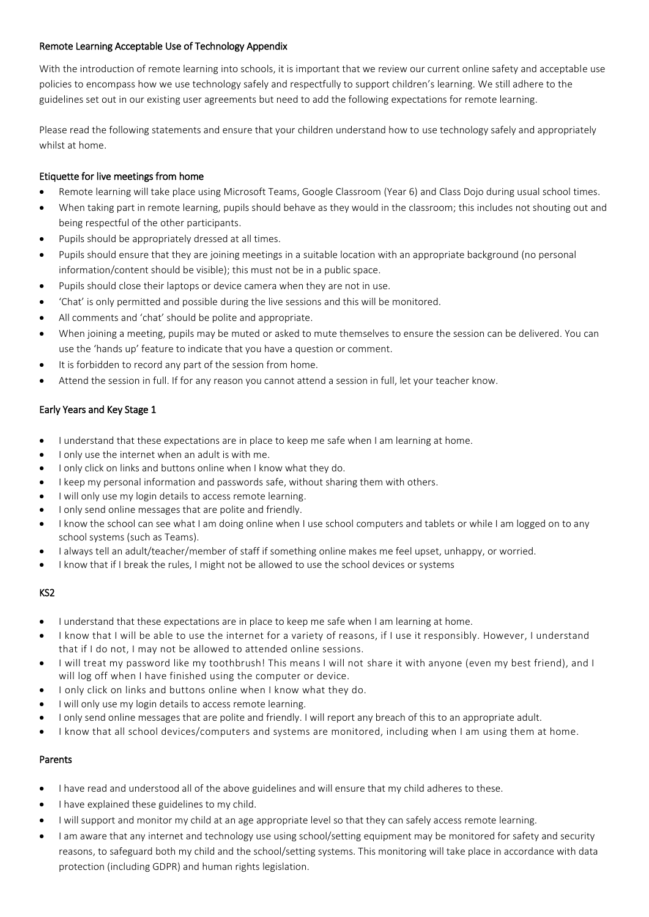# Remote Learning Acceptable Use of Technology Appendix

With the introduction of remote learning into schools, it is important that we review our current online safety and acceptable use policies to encompass how we use technology safely and respectfully to support children's learning. We still adhere to the guidelines set out in our existing user agreements but need to add the following expectations for remote learning.

Please read the following statements and ensure that your children understand how to use technology safely and appropriately whilst at home.

## Etiquette for live meetings from home

- Remote learning will take place using Microsoft Teams, Google Classroom (Year 6) and Class Dojo during usual school times.
- When taking part in remote learning, pupils should behave as they would in the classroom; this includes not shouting out and being respectful of the other participants.
- Pupils should be appropriately dressed at all times.
- Pupils should ensure that they are joining meetings in a suitable location with an appropriate background (no personal information/content should be visible); this must not be in a public space.
- Pupils should close their laptops or device camera when they are not in use.
- 'Chat' is only permitted and possible during the live sessions and this will be monitored.
- All comments and 'chat' should be polite and appropriate.
- When joining a meeting, pupils may be muted or asked to mute themselves to ensure the session can be delivered. You can use the 'hands up' feature to indicate that you have a question or comment.
- It is forbidden to record any part of the session from home.
- Attend the session in full. If for any reason you cannot attend a session in full, let your teacher know.

# Early Years and Key Stage 1

- I understand that these expectations are in place to keep me safe when I am learning at home.
- I only use the internet when an adult is with me.
- I only click on links and buttons online when I know what they do.
- I keep my personal information and passwords safe, without sharing them with others.
- I will only use my login details to access remote learning.
- I only send online messages that are polite and friendly.
- I know the school can see what I am doing online when I use school computers and tablets or while I am logged on to any school systems (such as Teams).
- I always tell an adult/teacher/member of staff if something online makes me feel upset, unhappy, or worried.
- I know that if I break the rules, I might not be allowed to use the school devices or systems

# KS2

- I understand that these expectations are in place to keep me safe when I am learning at home.
- I know that I will be able to use the internet for a variety of reasons, if I use it responsibly. However, I understand that if I do not, I may not be allowed to attended online sessions.
- I will treat my password like my toothbrush! This means I will not share it with anyone (even my best friend), and I will log off when I have finished using the computer or device.
- I only click on links and buttons online when I know what they do.
- I will only use my login details to access remote learning.
- I only send online messages that are polite and friendly. I will report any breach of this to an appropriate adult.
- I know that all school devices/computers and systems are monitored, including when I am using them at home.

# Parents

- I have read and understood all of the above guidelines and will ensure that my child adheres to these.
- I have explained these guidelines to my child.
- I will support and monitor my child at an age appropriate level so that they can safely access remote learning.
- I am aware that any internet and technology use using school/setting equipment may be monitored for safety and security reasons, to safeguard both my child and the school/setting systems. This monitoring will take place in accordance with data protection (including GDPR) and human rights legislation.